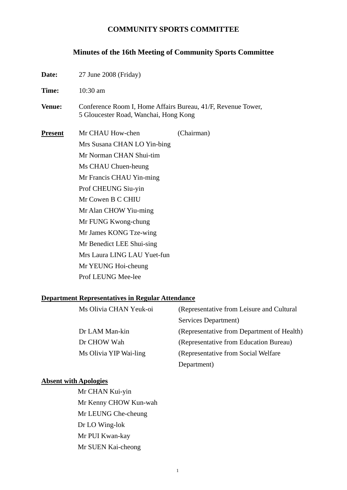### **COMMUNITY SPORTS COMMITTEE**

# **Minutes of the 16th Meeting of Community Sports Committee**

| Date:          | 27 June 2008 (Friday)                                                                                               |            |  |
|----------------|---------------------------------------------------------------------------------------------------------------------|------------|--|
| Time:          | $10:30$ am<br>Conference Room I, Home Affairs Bureau, 41/F, Revenue Tower,<br>5 Gloucester Road, Wanchai, Hong Kong |            |  |
| <b>Venue:</b>  |                                                                                                                     |            |  |
| <b>Present</b> | Mr CHAU How-chen                                                                                                    | (Chairman) |  |
|                | Mrs Susana CHAN LO Yin-bing                                                                                         |            |  |
|                | Mr Norman CHAN Shui-tim                                                                                             |            |  |
|                | Ms CHAU Chuen-heung                                                                                                 |            |  |
|                | Mr Francis CHAU Yin-ming                                                                                            |            |  |
|                | Prof CHEUNG Siu-yin                                                                                                 |            |  |
|                | Mr Cowen B C CHIU                                                                                                   |            |  |
|                | Mr Alan CHOW Yiu-ming                                                                                               |            |  |
|                | Mr FUNG Kwong-chung                                                                                                 |            |  |
|                | Mr James KONG Tze-wing                                                                                              |            |  |
|                | Mr Benedict LEE Shui-sing                                                                                           |            |  |
|                | Mrs Laura LING LAU Yuet-fun                                                                                         |            |  |
|                | Mr YEUNG Hoi-cheung                                                                                                 |            |  |
|                | Prof LEUNG Mee-lee                                                                                                  |            |  |

### **Department Representatives in Regular Attendance**

| Ms Olivia CHAN Yeuk-oi | (Representative from Leisure and Cultural  |
|------------------------|--------------------------------------------|
|                        | Services Department)                       |
| Dr LAM Man-kin         | (Representative from Department of Health) |
| Dr CHOW Wah            | (Representative from Education Bureau)     |
| Ms Olivia YIP Wai-ling | (Representative from Social Welfare)       |
|                        | Department)                                |

## **Absent with Apologies**

Mr CHAN Kui-yin Mr Kenny CHOW Kun-wah Mr LEUNG Che-cheung Dr LO Wing-lok Mr PUI Kwan-kay Mr SUEN Kai-cheong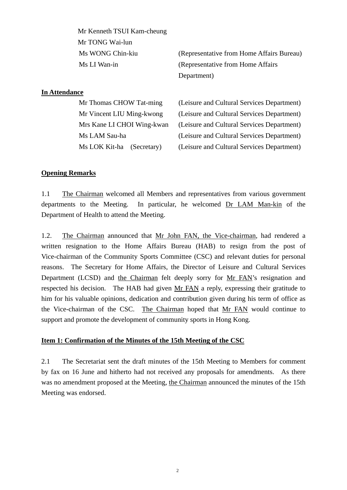| Mr Kenneth TSUI Kam-cheung   |                                            |
|------------------------------|--------------------------------------------|
| Mr TONG Wai-lun              |                                            |
| Ms WONG Chin-kiu             | (Representative from Home Affairs Bureau)  |
| Ms LI Wan-in                 | (Representative from Home Affairs)         |
|                              | Department)                                |
| <b>In Attendance</b>         |                                            |
| Mr Thomas CHOW Tat-ming      | (Leisure and Cultural Services Department) |
| Mr Vincent LIU Ming-kwong    | (Leisure and Cultural Services Department) |
| Mrs Kane LI CHOI Wing-kwan   | (Leisure and Cultural Services Department) |
| Ms LAM Sau-ha                | (Leisure and Cultural Services Department) |
| Ms LOK Kit-ha<br>(Secretary) | (Leisure and Cultural Services Department) |

### **Opening Remarks**

1.1 The Chairman welcomed all Members and representatives from various government departments to the Meeting. In particular, he welcomed Dr LAM Man-kin of the Department of Health to attend the Meeting.

1.2. The Chairman announced that Mr John FAN, the Vice-chairman, had rendered a written resignation to the Home Affairs Bureau (HAB) to resign from the post of Vice-chairman of the Community Sports Committee (CSC) and relevant duties for personal reasons. The Secretary for Home Affairs, the Director of Leisure and Cultural Services Department (LCSD) and the Chairman felt deeply sorry for Mr FAN's resignation and respected his decision. The HAB had given Mr FAN a reply, expressing their gratitude to him for his valuable opinions, dedication and contribution given during his term of office as the Vice-chairman of the CSC. The Chairman hoped that Mr FAN would continue to support and promote the development of community sports in Hong Kong.

#### **Item 1: Confirmation of the Minutes of the 15th Meeting of the CSC**

2.1 The Secretariat sent the draft minutes of the 15th Meeting to Members for comment by fax on 16 June and hitherto had not received any proposals for amendments. As there was no amendment proposed at the Meeting, the Chairman announced the minutes of the 15th Meeting was endorsed.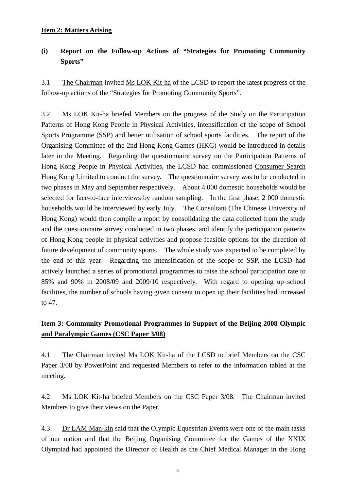#### **Item 2: Matters Arising**

## **(i) Report on the Follow-up Actions of "Strategies for Promoting Community Sports"**

3.1 The Chairman invited Ms LOK Kit-ha of the LCSD to report the latest progress of the follow-up actions of the "Strategies for Promoting Community Sports".

3.2 Ms LOK Kit-ha briefed Members on the progress of the Study on the Participation Patterns of Hong Kong People in Physical Activities, intensification of the scope of School Sports Programme (SSP) and better utilisation of school sports facilities. The report of the Organising Committee of the 2nd Hong Kong Games (HKG) would be introduced in details later in the Meeting. Regarding the questionnaire survey on the Participation Patterns of Hong Kong People in Physical Activities, the LCSD had commissioned Consumer Search Hong Kong Limited to conduct the survey. The questionnaire survey was to be conducted in two phases in May and September respectively. About 4 000 domestic households would be selected for face-to-face interviews by random sampling. In the first phase, 2 000 domestic households would be interviewed by early July. The Consultant (The Chinese University of Hong Kong) would then compile a report by consolidating the data collected from the study and the questionnaire survey conducted in two phases, and identify the participation patterns of Hong Kong people in physical activities and propose feasible options for the direction of future development of community sports. The whole study was expected to be completed by the end of this year. Regarding the intensification of the scope of SSP, the LCSD had actively launched a series of promotional programmes to raise the school participation rate to 85% and 90% in 2008/09 and 2009/10 respectively. With regard to opening up school facilities, the number of schools having given consent to open up their facilities had increased to 47.

## **Item 3: Community Promotional Programmes in Support of the Beijing 2008 Olympic and Paralympic Games (CSC Paper 3/08)**

4.1 The Chairman invited Ms LOK Kit-ha of the LCSD to brief Members on the CSC Paper 3/08 by PowerPoint and requested Members to refer to the information tabled at the meeting.

4.2 Ms LOK Kit-ha briefed Members on the CSC Paper 3/08. The Chairman invited Members to give their views on the Paper.

4.3 Dr LAM Man-kin said that the Olympic Equestrian Events were one of the main tasks of our nation and that the Beijing Organising Committee for the Games of the XXIX Olympiad had appointed the Director of Health as the Chief Medical Manager in the Hong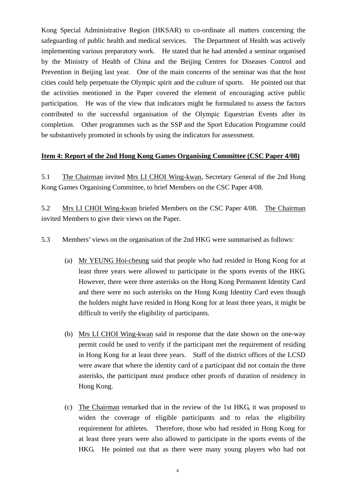Kong Special Administrative Region (HKSAR) to co-ordinate all matters concerning the safeguarding of public health and medical services. The Department of Health was actively implementing various preparatory work. He stated that he had attended a seminar organised by the Ministry of Health of China and the Beijing Centres for Diseases Control and Prevention in Beijing last year. One of the main concerns of the seminar was that the host cities could help perpetuate the Olympic spirit and the culture of sports. He pointed out that the activities mentioned in the Paper covered the element of encouraging active public participation. He was of the view that indicators might be formulated to assess the factors contributed to the successful organisation of the Olympic Equestrian Events after its completion. Other programmes such as the SSP and the Sport Education Programme could be substantively promoted in schools by using the indicators for assessment.

### **Item 4: Report of the 2nd Hong Kong Games Organising Committee (CSC Paper 4/08)**

5.1 The Chairman invited Mrs LI CHOI Wing-kwan, Secretary General of the 2nd Hong Kong Games Organising Committee, to brief Members on the CSC Paper 4/08.

5.2 Mrs LI CHOI Wing-kwan briefed Members on the CSC Paper 4/08. The Chairman invited Members to give their views on the Paper.

5.3 Members' views on the organisation of the 2nd HKG were summarised as follows:

- (a) Mr YEUNG Hoi-cheung said that people who had resided in Hong Kong for at least three years were allowed to participate in the sports events of the HKG. However, there were three asterisks on the Hong Kong Permanent Identity Card and there were no such asterisks on the Hong Kong Identity Card even though the holders might have resided in Hong Kong for at least three years, it might be difficult to verify the eligibility of participants.
- (b) Mrs LI CHOI Wing-kwan said in response that the date shown on the one-way permit could be used to verify if the participant met the requirement of residing in Hong Kong for at least three years. Staff of the district offices of the LCSD were aware that where the identity card of a participant did not contain the three asterisks, the participant must produce other proofs of duration of residency in Hong Kong.
- (c) The Chairman remarked that in the review of the 1st HKG, it was proposed to widen the coverage of eligible participants and to relax the eligibility requirement for athletes. Therefore, those who had resided in Hong Kong for at least three years were also allowed to participate in the sports events of the HKG. He pointed out that as there were many young players who had not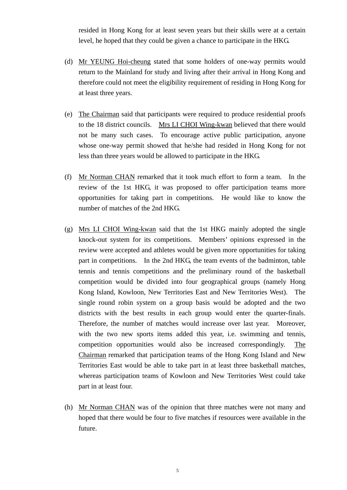resided in Hong Kong for at least seven years but their skills were at a certain level, he hoped that they could be given a chance to participate in the HKG.

- (d) Mr YEUNG Hoi-cheung stated that some holders of one-way permits would return to the Mainland for study and living after their arrival in Hong Kong and therefore could not meet the eligibility requirement of residing in Hong Kong for at least three years.
- (e) The Chairman said that participants were required to produce residential proofs to the 18 district councils. Mrs LI CHOI Wing-kwan believed that there would not be many such cases. To encourage active public participation, anyone whose one-way permit showed that he/she had resided in Hong Kong for not less than three years would be allowed to participate in the HKG.
- (f) Mr Norman CHAN remarked that it took much effort to form a team. In the review of the 1st HKG, it was proposed to offer participation teams more opportunities for taking part in competitions. He would like to know the number of matches of the 2nd HKG.
- (g) Mrs LI CHOI Wing-kwan said that the 1st HKG mainly adopted the single knock-out system for its competitions. Members' opinions expressed in the review were accepted and athletes would be given more opportunities for taking part in competitions. In the 2nd HKG, the team events of the badminton, table tennis and tennis competitions and the preliminary round of the basketball competition would be divided into four geographical groups (namely Hong Kong Island, Kowloon, New Territories East and New Territories West). The single round robin system on a group basis would be adopted and the two districts with the best results in each group would enter the quarter-finals. Therefore, the number of matches would increase over last year. Moreover, with the two new sports items added this year, i.e. swimming and tennis, competition opportunities would also be increased correspondingly. The Chairman remarked that participation teams of the Hong Kong Island and New Territories East would be able to take part in at least three basketball matches, whereas participation teams of Kowloon and New Territories West could take part in at least four.
- (h) Mr Norman CHAN was of the opinion that three matches were not many and hoped that there would be four to five matches if resources were available in the future.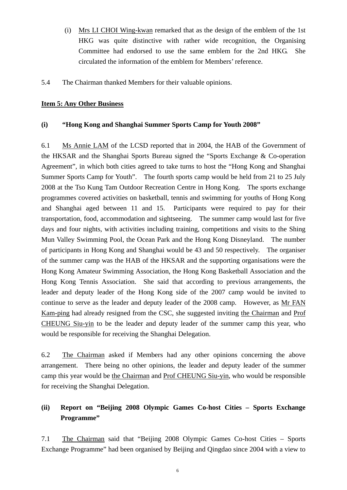- (i) Mrs LI CHOI Wing-kwan remarked that as the design of the emblem of the 1st HKG was quite distinctive with rather wide recognition, the Organising Committee had endorsed to use the same emblem for the 2nd HKG. She circulated the information of the emblem for Members' reference.
- 5.4 The Chairman thanked Members for their valuable opinions.

### **Item 5: Any Other Business**

### **(i) "Hong Kong and Shanghai Summer Sports Camp for Youth 2008"**

6.1 Ms Annie LAM of the LCSD reported that in 2004, the HAB of the Government of the HKSAR and the Shanghai Sports Bureau signed the "Sports Exchange & Co-operation Agreement", in which both cities agreed to take turns to host the "Hong Kong and Shanghai Summer Sports Camp for Youth". The fourth sports camp would be held from 21 to 25 July 2008 at the Tso Kung Tam Outdoor Recreation Centre in Hong Kong. The sports exchange programmes covered activities on basketball, tennis and swimming for youths of Hong Kong and Shanghai aged between 11 and 15. Participants were required to pay for their transportation, food, accommodation and sightseeing. The summer camp would last for five days and four nights, with activities including training, competitions and visits to the Shing Mun Valley Swimming Pool, the Ocean Park and the Hong Kong Disneyland. The number of participants in Hong Kong and Shanghai would be 43 and 50 respectively. The organiser of the summer camp was the HAB of the HKSAR and the supporting organisations were the Hong Kong Amateur Swimming Association, the Hong Kong Basketball Association and the Hong Kong Tennis Association. She said that according to previous arrangements, the leader and deputy leader of the Hong Kong side of the 2007 camp would be invited to continue to serve as the leader and deputy leader of the 2008 camp. However, as Mr FAN Kam-ping had already resigned from the CSC, she suggested inviting the Chairman and Prof CHEUNG Siu-yin to be the leader and deputy leader of the summer camp this year, who would be responsible for receiving the Shanghai Delegation.

6.2 The Chairman asked if Members had any other opinions concerning the above arrangement. There being no other opinions, the leader and deputy leader of the summer camp this year would be the Chairman and Prof CHEUNG Siu-yin, who would be responsible for receiving the Shanghai Delegation.

# **(ii) Report on "Beijing 2008 Olympic Games Co-host Cities – Sports Exchange Programme"**

7.1 The Chairman said that "Beijing 2008 Olympic Games Co-host Cities – Sports Exchange Programme" had been organised by Beijing and Qingdao since 2004 with a view to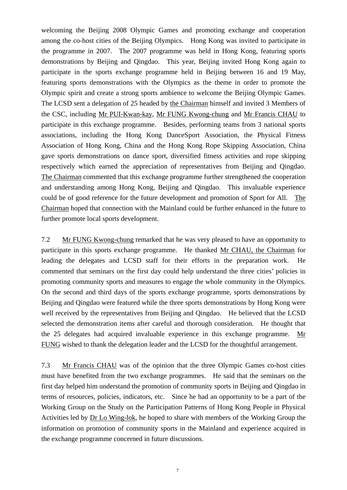welcoming the Beijing 2008 Olympic Games and promoting exchange and cooperation among the co-host cities of the Beijing Olympics. Hong Kong was invited to participate in the programme in 2007. The 2007 programme was held in Hong Kong, featuring sports demonstrations by Beijing and Qingdao. This year, Beijing invited Hong Kong again to participate in the sports exchange programme held in Beijing between 16 and 19 May, featuring sports demonstrations with the Olympics as the theme in order to promote the Olympic spirit and create a strong sports ambience to welcome the Beijing Olympic Games. The LCSD sent a delegation of 25 headed by the Chairman himself and invited 3 Members of the CSC, including Mr PUI-Kwan-kay, Mr FUNG Kwong-chung and Mr Francis CHAU to participate in this exchange programme. Besides, performing teams from 3 national sports associations, including the Hong Kong DanceSport Association, the Physical Fitness Association of Hong Kong, China and the Hong Kong Rope Skipping Association, China gave sports demonstrations on dance sport, diversified fitness activities and rope skipping respectively which earned the appreciation of representatives from Beijing and Qingdao. The Chairman commented that this exchange programme further strengthened the cooperation and understanding among Hong Kong, Beijing and Qingdao. This invaluable experience could be of good reference for the future development and promotion of Sport for All. The Chairman hoped that connection with the Mainland could be further enhanced in the future to further promote local sports development.

7.2 Mr FUNG Kwong-chung remarked that he was very pleased to have an opportunity to participate in this sports exchange programme. He thanked Mr CHAU, the Chairman for leading the delegates and LCSD staff for their efforts in the preparation work. He commented that seminars on the first day could help understand the three cities' policies in promoting community sports and measures to engage the whole community in the Olympics. On the second and third days of the sports exchange programme, sports demonstrations by Beijing and Qingdao were featured while the three sports demonstrations by Hong Kong were well received by the representatives from Beijing and Qingdao. He believed that the LCSD selected the demonstration items after careful and thorough consideration. He thought that the 25 delegates had acquired invaluable experience in this exchange programme. Mr FUNG wished to thank the delegation leader and the LCSD for the thoughtful arrangement.

7.3 Mr Francis CHAU was of the opinion that the three Olympic Games co-host cities must have benefited from the two exchange programmes. He said that the seminars on the first day helped him understand the promotion of community sports in Beijing and Qingdao in terms of resources, policies, indicators, etc. Since he had an opportunity to be a part of the Working Group on the Study on the Participation Patterns of Hong Kong People in Physical Activities led by Dr Lo Wing-lok, he hoped to share with members of the Working Group the information on promotion of community sports in the Mainland and experience acquired in the exchange programme concerned in future discussions.